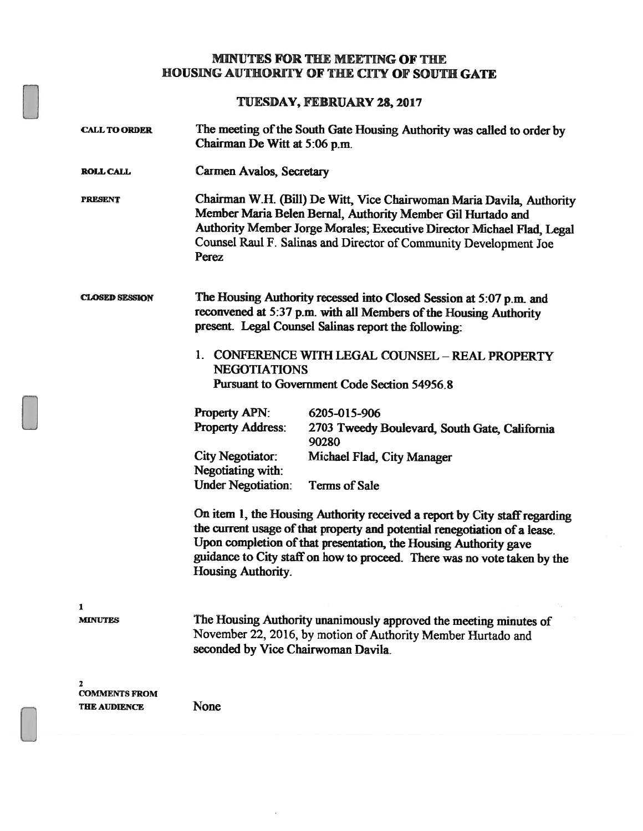## MINUTES FOR THE MEETING OF THE HOUSING AUTHORITY OF THE CITY OF SOUTH GATE

TUESDAY, FEBRUARY 28,2017

| <b>CALL TO ORDER</b>                             | The meeting of the South Gate Housing Authority was called to order by<br>Chairman De Witt at 5:06 p.m.                                                                                                                                                                                             |                                                                                                                                                                                                                                                                                                          |  |
|--------------------------------------------------|-----------------------------------------------------------------------------------------------------------------------------------------------------------------------------------------------------------------------------------------------------------------------------------------------------|----------------------------------------------------------------------------------------------------------------------------------------------------------------------------------------------------------------------------------------------------------------------------------------------------------|--|
| <b>ROLL CALL</b>                                 | Carmen Avalos, Secretary                                                                                                                                                                                                                                                                            |                                                                                                                                                                                                                                                                                                          |  |
| <b>PRESENT</b>                                   | Chairman W.H. (Bill) De Witt, Vice Chairwoman Maria Davila, Authority<br>Member Maria Belen Bernal, Authority Member Gil Hurtado and<br>Authority Member Jorge Morales; Executive Director Michael Flad, Legal<br>Counsel Raul F. Salinas and Director of Community Development Joe<br><b>Perez</b> |                                                                                                                                                                                                                                                                                                          |  |
| <b>CLOSED SESSION</b>                            | The Housing Authority recessed into Closed Session at 5:07 p.m. and<br>reconvened at 5:37 p.m. with all Members of the Housing Authority<br>present. Legal Counsel Salinas report the following:                                                                                                    |                                                                                                                                                                                                                                                                                                          |  |
|                                                  | 1. CONFERENCE WITH LEGAL COUNSEL - REAL PROPERTY<br><b>NEGOTIATIONS</b><br>Pursuant to Government Code Section 54956.8                                                                                                                                                                              |                                                                                                                                                                                                                                                                                                          |  |
|                                                  | <b>Property APN:</b>                                                                                                                                                                                                                                                                                | 6205-015-906                                                                                                                                                                                                                                                                                             |  |
|                                                  | <b>Property Address:</b>                                                                                                                                                                                                                                                                            | 2703 Tweedy Boulevard, South Gate, California<br>90280                                                                                                                                                                                                                                                   |  |
|                                                  | <b>City Negotiator:</b><br>Negotiating with:                                                                                                                                                                                                                                                        | Michael Flad, City Manager                                                                                                                                                                                                                                                                               |  |
|                                                  | <b>Under Negotiation:</b>                                                                                                                                                                                                                                                                           | <b>Terms of Sale</b>                                                                                                                                                                                                                                                                                     |  |
|                                                  | <b>Housing Authority.</b>                                                                                                                                                                                                                                                                           | On item 1, the Housing Authority received a report by City staff regarding<br>the current usage of that property and potential renegotiation of a lease.<br>Upon completion of that presentation, the Housing Authority gave<br>guidance to City staff on how to proceed. There was no vote taken by the |  |
| 1<br><b>MINUTES</b>                              | The Housing Authority unanimously approved the meeting minutes of<br>November 22, 2016, by motion of Authority Member Hurtado and<br>seconded by Vice Chairwoman Davila.                                                                                                                            |                                                                                                                                                                                                                                                                                                          |  |
| 2<br><b>COMMENTS FROM</b><br><b>THE AUDIENCE</b> | None                                                                                                                                                                                                                                                                                                |                                                                                                                                                                                                                                                                                                          |  |